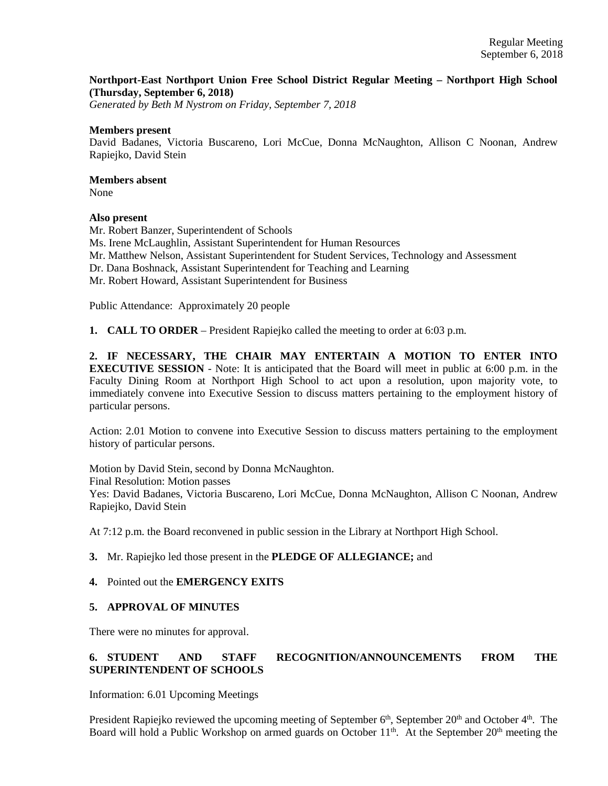### **Northport-East Northport Union Free School District Regular Meeting – Northport High School (Thursday, September 6, 2018)**

*Generated by Beth M Nystrom on Friday, September 7, 2018*

#### **Members present**

David Badanes, Victoria Buscareno, Lori McCue, Donna McNaughton, Allison C Noonan, Andrew Rapiejko, David Stein

# **Members absent**

None

#### **Also present**

Mr. Robert Banzer, Superintendent of Schools Ms. Irene McLaughlin, Assistant Superintendent for Human Resources Mr. Matthew Nelson, Assistant Superintendent for Student Services, Technology and Assessment Dr. Dana Boshnack, Assistant Superintendent for Teaching and Learning Mr. Robert Howard, Assistant Superintendent for Business

Public Attendance: Approximately 20 people

**1. CALL TO ORDER** – President Rapiejko called the meeting to order at 6:03 p.m.

**2. IF NECESSARY, THE CHAIR MAY ENTERTAIN A MOTION TO ENTER INTO EXECUTIVE SESSION** - Note: It is anticipated that the Board will meet in public at 6:00 p.m. in the Faculty Dining Room at Northport High School to act upon a resolution, upon majority vote, to immediately convene into Executive Session to discuss matters pertaining to the employment history of particular persons.

Action: 2.01 Motion to convene into Executive Session to discuss matters pertaining to the employment history of particular persons.

Motion by David Stein, second by Donna McNaughton. Final Resolution: Motion passes Yes: David Badanes, Victoria Buscareno, Lori McCue, Donna McNaughton, Allison C Noonan, Andrew Rapiejko, David Stein

At 7:12 p.m. the Board reconvened in public session in the Library at Northport High School.

### **3.** Mr. Rapiejko led those present in the **PLEDGE OF ALLEGIANCE;** and

### **4.** Pointed out the **EMERGENCY EXITS**

### **5. APPROVAL OF MINUTES**

There were no minutes for approval.

### **6. STUDENT AND STAFF RECOGNITION/ANNOUNCEMENTS FROM THE SUPERINTENDENT OF SCHOOLS**

Information: 6.01 Upcoming Meetings

President Rapiejko reviewed the upcoming meeting of September 6<sup>th</sup>, September 20<sup>th</sup> and October 4<sup>th</sup>. The Board will hold a Public Workshop on armed guards on October  $11<sup>th</sup>$ . At the September  $20<sup>th</sup>$  meeting the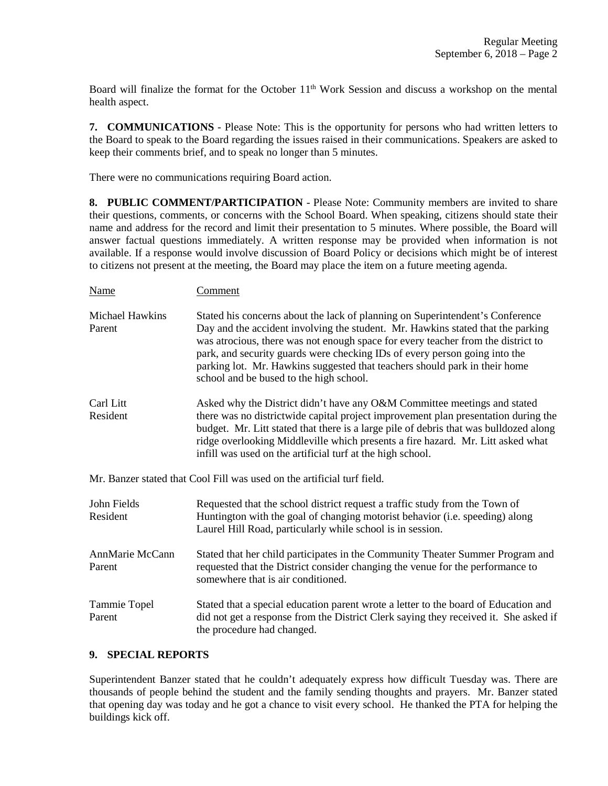Board will finalize the format for the October  $11<sup>th</sup>$  Work Session and discuss a workshop on the mental health aspect.

**7. COMMUNICATIONS** - Please Note: This is the opportunity for persons who had written letters to the Board to speak to the Board regarding the issues raised in their communications. Speakers are asked to keep their comments brief, and to speak no longer than 5 minutes.

There were no communications requiring Board action.

Name Comment

**8. PUBLIC COMMENT/PARTICIPATION** - Please Note: Community members are invited to share their questions, comments, or concerns with the School Board. When speaking, citizens should state their name and address for the record and limit their presentation to 5 minutes. Where possible, the Board will answer factual questions immediately. A written response may be provided when information is not available. If a response would involve discussion of Board Policy or decisions which might be of interest to citizens not present at the meeting, the Board may place the item on a future meeting agenda.

Michael Hawkins Stated his concerns about the lack of planning on Superintendent's Conference Parent Day and the accident involving the student. Mr. Hawkins stated that the parking was atrocious, there was not enough space for every teacher from the district to park, and security guards were checking IDs of every person going into the parking lot. Mr. Hawkins suggested that teachers should park in their home school and be bused to the high school. Carl Litt Asked why the District didn't have any O&M Committee meetings and stated Resident there was no districtwide capital project improvement plan presentation during the budget. Mr. Litt stated that there is a large pile of debris that was bulldozed along ridge overlooking Middleville which presents a fire hazard. Mr. Litt asked what infill was used on the artificial turf at the high school.

Mr. Banzer stated that Cool Fill was used on the artificial turf field.

| John Fields<br>Resident   | Requested that the school district request a traffic study from the Town of<br>Huntington with the goal of changing motorist behavior (i.e. speeding) along<br>Laurel Hill Road, particularly while school is in session. |
|---------------------------|---------------------------------------------------------------------------------------------------------------------------------------------------------------------------------------------------------------------------|
| AnnMarie McCann<br>Parent | Stated that her child participates in the Community Theater Summer Program and<br>requested that the District consider changing the venue for the performance to<br>somewhere that is air conditioned.                    |
| Tammie Topel<br>Parent    | Stated that a special education parent wrote a letter to the board of Education and<br>did not get a response from the District Clerk saying they received it. She asked if<br>the procedure had changed.                 |

### **9. SPECIAL REPORTS**

Superintendent Banzer stated that he couldn't adequately express how difficult Tuesday was. There are thousands of people behind the student and the family sending thoughts and prayers. Mr. Banzer stated that opening day was today and he got a chance to visit every school. He thanked the PTA for helping the buildings kick off.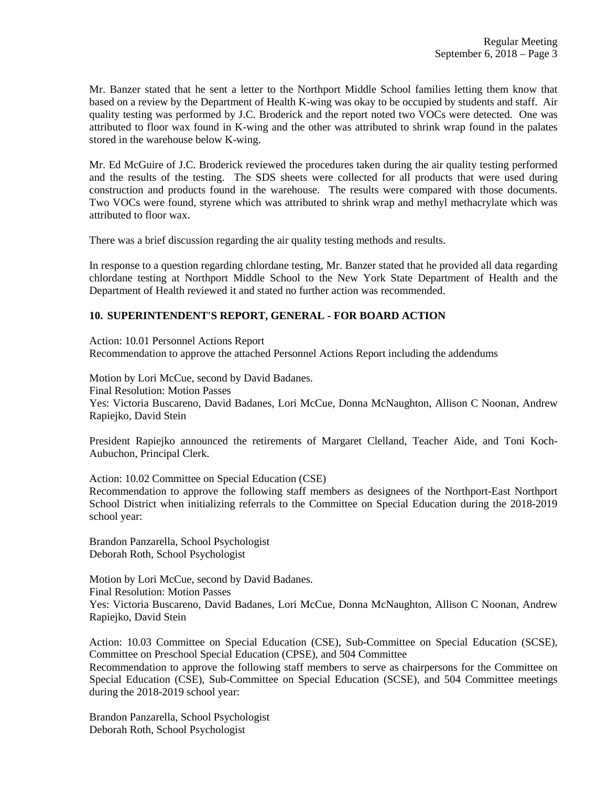Mr. Banzer stated that he sent a letter to the Northport Middle School families letting them know that based on a review by the Department of Health K-wing was okay to be occupied by students and staff. Air quality testing was performed by J.C. Broderick and the report noted two VOCs were detected. One was attributed to floor wax found in K-wing and the other was attributed to shrink wrap found in the palates stored in the warehouse below K-wing.

Mr. Ed McGuire of J.C. Broderick reviewed the procedures taken during the air quality testing performed and the results of the testing. The SDS sheets were collected for all products that were used during construction and products found in the warehouse. The results were compared with those documents. Two VOCs were found, styrene which was attributed to shrink wrap and methyl methacrylate which was attributed to floor wax.

There was a brief discussion regarding the air quality testing methods and results.

In response to a question regarding chlordane testing, Mr. Banzer stated that he provided all data regarding chlordane testing at Northport Middle School to the New York State Department of Health and the Department of Health reviewed it and stated no further action was recommended.

### **10. SUPERINTENDENT'S REPORT, GENERAL - FOR BOARD ACTION**

Action: 10.01 Personnel Actions Report Recommendation to approve the attached Personnel Actions Report including the addendums

Motion by Lori McCue, second by David Badanes. Final Resolution: Motion Passes Yes: Victoria Buscareno, David Badanes, Lori McCue, Donna McNaughton, Allison C Noonan, Andrew Rapiejko, David Stein

President Rapiejko announced the retirements of Margaret Clelland, Teacher Aide, and Toni Koch-Aubuchon, Principal Clerk.

Action: 10.02 Committee on Special Education (CSE)

Recommendation to approve the following staff members as designees of the Northport-East Northport School District when initializing referrals to the Committee on Special Education during the 2018-2019 school year:

Brandon Panzarella, School Psychologist Deborah Roth, School Psychologist

Motion by Lori McCue, second by David Badanes. Final Resolution: Motion Passes Yes: Victoria Buscareno, David Badanes, Lori McCue, Donna McNaughton, Allison C Noonan, Andrew Rapiejko, David Stein

Action: 10.03 Committee on Special Education (CSE), Sub-Committee on Special Education (SCSE), Committee on Preschool Special Education (CPSE), and 504 Committee

Recommendation to approve the following staff members to serve as chairpersons for the Committee on Special Education (CSE), Sub-Committee on Special Education (SCSE), and 504 Committee meetings during the 2018-2019 school year:

Brandon Panzarella, School Psychologist Deborah Roth, School Psychologist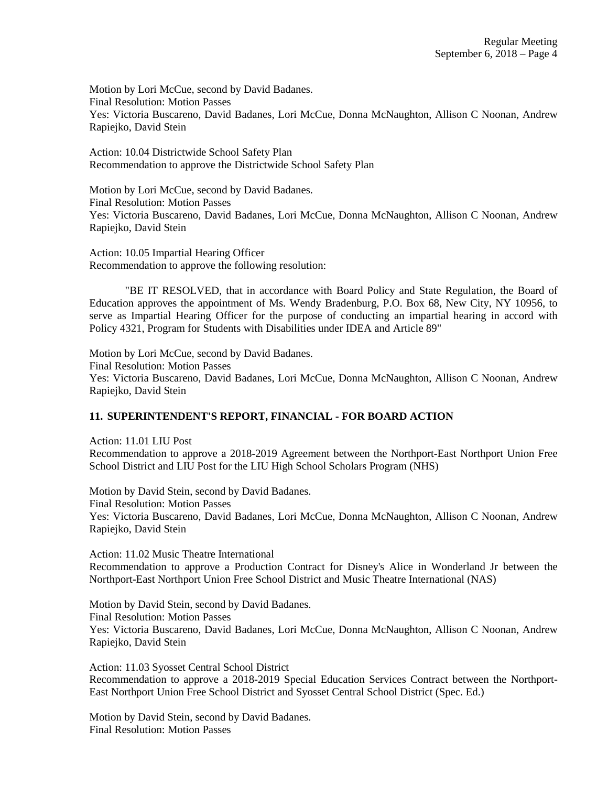Motion by Lori McCue, second by David Badanes. Final Resolution: Motion Passes Yes: Victoria Buscareno, David Badanes, Lori McCue, Donna McNaughton, Allison C Noonan, Andrew Rapiejko, David Stein

Action: 10.04 Districtwide School Safety Plan Recommendation to approve the Districtwide School Safety Plan

Motion by Lori McCue, second by David Badanes. Final Resolution: Motion Passes Yes: Victoria Buscareno, David Badanes, Lori McCue, Donna McNaughton, Allison C Noonan, Andrew Rapiejko, David Stein

Action: 10.05 Impartial Hearing Officer Recommendation to approve the following resolution:

"BE IT RESOLVED, that in accordance with Board Policy and State Regulation, the Board of Education approves the appointment of Ms. Wendy Bradenburg, P.O. Box 68, New City, NY 10956, to serve as Impartial Hearing Officer for the purpose of conducting an impartial hearing in accord with Policy 4321, Program for Students with Disabilities under IDEA and Article 89"

Motion by Lori McCue, second by David Badanes. Final Resolution: Motion Passes Yes: Victoria Buscareno, David Badanes, Lori McCue, Donna McNaughton, Allison C Noonan, Andrew Rapiejko, David Stein

### **11. SUPERINTENDENT'S REPORT, FINANCIAL - FOR BOARD ACTION**

Action: 11.01 LIU Post Recommendation to approve a 2018-2019 Agreement between the Northport-East Northport Union Free School District and LIU Post for the LIU High School Scholars Program (NHS)

Motion by David Stein, second by David Badanes. Final Resolution: Motion Passes Yes: Victoria Buscareno, David Badanes, Lori McCue, Donna McNaughton, Allison C Noonan, Andrew Rapiejko, David Stein

Action: 11.02 Music Theatre International Recommendation to approve a Production Contract for Disney's Alice in Wonderland Jr between the Northport-East Northport Union Free School District and Music Theatre International (NAS)

Motion by David Stein, second by David Badanes. Final Resolution: Motion Passes Yes: Victoria Buscareno, David Badanes, Lori McCue, Donna McNaughton, Allison C Noonan, Andrew Rapiejko, David Stein

Action: 11.03 Syosset Central School District Recommendation to approve a 2018-2019 Special Education Services Contract between the Northport-East Northport Union Free School District and Syosset Central School District (Spec. Ed.)

Motion by David Stein, second by David Badanes. Final Resolution: Motion Passes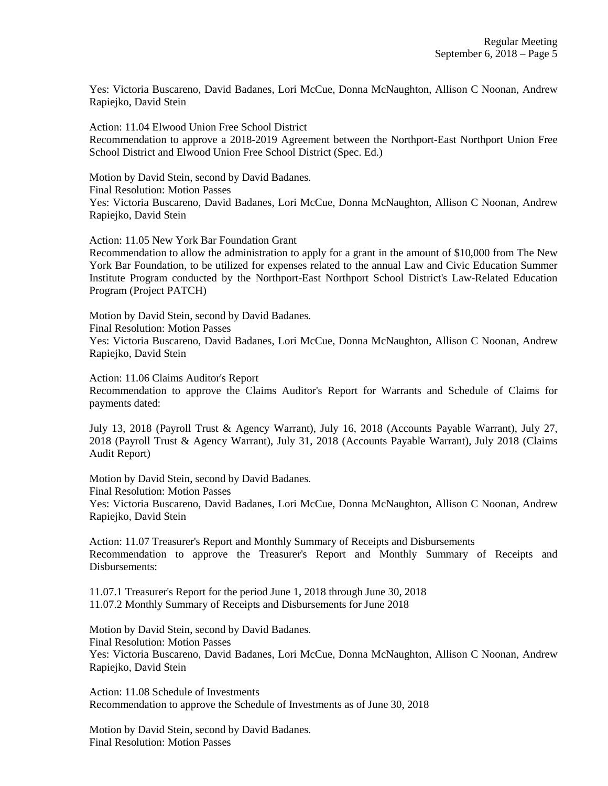Yes: Victoria Buscareno, David Badanes, Lori McCue, Donna McNaughton, Allison C Noonan, Andrew Rapiejko, David Stein

Action: 11.04 Elwood Union Free School District Recommendation to approve a 2018-2019 Agreement between the Northport-East Northport Union Free School District and Elwood Union Free School District (Spec. Ed.)

Motion by David Stein, second by David Badanes. Final Resolution: Motion Passes Yes: Victoria Buscareno, David Badanes, Lori McCue, Donna McNaughton, Allison C Noonan, Andrew Rapiejko, David Stein

Action: 11.05 New York Bar Foundation Grant

Recommendation to allow the administration to apply for a grant in the amount of \$10,000 from The New York Bar Foundation, to be utilized for expenses related to the annual Law and Civic Education Summer Institute Program conducted by the Northport-East Northport School District's Law-Related Education Program (Project PATCH)

Motion by David Stein, second by David Badanes.

Final Resolution: Motion Passes

Yes: Victoria Buscareno, David Badanes, Lori McCue, Donna McNaughton, Allison C Noonan, Andrew Rapiejko, David Stein

Action: 11.06 Claims Auditor's Report

Recommendation to approve the Claims Auditor's Report for Warrants and Schedule of Claims for payments dated:

July 13, 2018 (Payroll Trust & Agency Warrant), July 16, 2018 (Accounts Payable Warrant), July 27, 2018 (Payroll Trust & Agency Warrant), July 31, 2018 (Accounts Payable Warrant), July 2018 (Claims Audit Report)

Motion by David Stein, second by David Badanes.

Final Resolution: Motion Passes

Yes: Victoria Buscareno, David Badanes, Lori McCue, Donna McNaughton, Allison C Noonan, Andrew Rapiejko, David Stein

Action: 11.07 Treasurer's Report and Monthly Summary of Receipts and Disbursements Recommendation to approve the Treasurer's Report and Monthly Summary of Receipts and Disbursements:

11.07.1 Treasurer's Report for the period June 1, 2018 through June 30, 2018 11.07.2 Monthly Summary of Receipts and Disbursements for June 2018

Motion by David Stein, second by David Badanes. Final Resolution: Motion Passes Yes: Victoria Buscareno, David Badanes, Lori McCue, Donna McNaughton, Allison C Noonan, Andrew Rapiejko, David Stein

Action: 11.08 Schedule of Investments Recommendation to approve the Schedule of Investments as of June 30, 2018

Motion by David Stein, second by David Badanes. Final Resolution: Motion Passes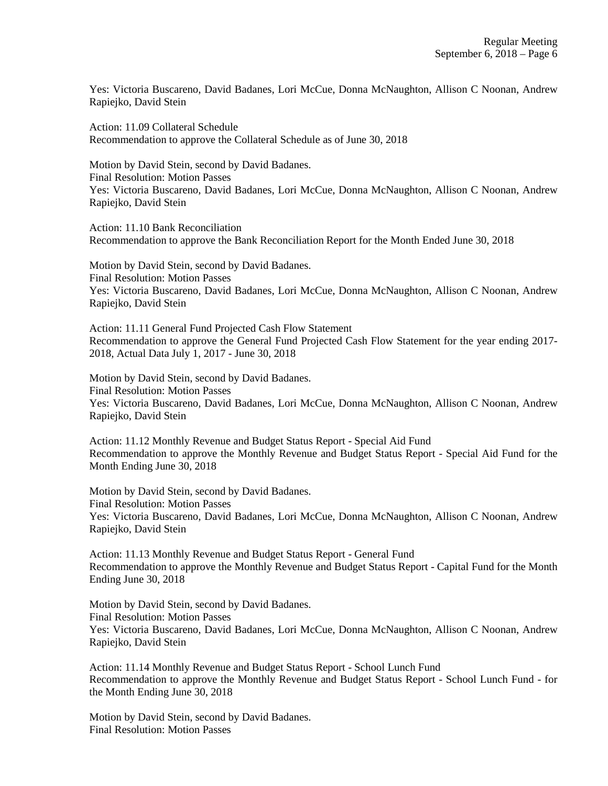Yes: Victoria Buscareno, David Badanes, Lori McCue, Donna McNaughton, Allison C Noonan, Andrew Rapiejko, David Stein

Action: 11.09 Collateral Schedule Recommendation to approve the Collateral Schedule as of June 30, 2018

Motion by David Stein, second by David Badanes. Final Resolution: Motion Passes Yes: Victoria Buscareno, David Badanes, Lori McCue, Donna McNaughton, Allison C Noonan, Andrew Rapiejko, David Stein

Action: 11.10 Bank Reconciliation Recommendation to approve the Bank Reconciliation Report for the Month Ended June 30, 2018

Motion by David Stein, second by David Badanes. Final Resolution: Motion Passes Yes: Victoria Buscareno, David Badanes, Lori McCue, Donna McNaughton, Allison C Noonan, Andrew Rapiejko, David Stein

Action: 11.11 General Fund Projected Cash Flow Statement Recommendation to approve the General Fund Projected Cash Flow Statement for the year ending 2017- 2018, Actual Data July 1, 2017 - June 30, 2018

Motion by David Stein, second by David Badanes. Final Resolution: Motion Passes Yes: Victoria Buscareno, David Badanes, Lori McCue, Donna McNaughton, Allison C Noonan, Andrew Rapiejko, David Stein

Action: 11.12 Monthly Revenue and Budget Status Report - Special Aid Fund Recommendation to approve the Monthly Revenue and Budget Status Report - Special Aid Fund for the Month Ending June 30, 2018

Motion by David Stein, second by David Badanes. Final Resolution: Motion Passes Yes: Victoria Buscareno, David Badanes, Lori McCue, Donna McNaughton, Allison C Noonan, Andrew Rapiejko, David Stein

Action: 11.13 Monthly Revenue and Budget Status Report - General Fund Recommendation to approve the Monthly Revenue and Budget Status Report - Capital Fund for the Month Ending June 30, 2018

Motion by David Stein, second by David Badanes. Final Resolution: Motion Passes Yes: Victoria Buscareno, David Badanes, Lori McCue, Donna McNaughton, Allison C Noonan, Andrew Rapiejko, David Stein

Action: 11.14 Monthly Revenue and Budget Status Report - School Lunch Fund Recommendation to approve the Monthly Revenue and Budget Status Report - School Lunch Fund - for the Month Ending June 30, 2018

Motion by David Stein, second by David Badanes. Final Resolution: Motion Passes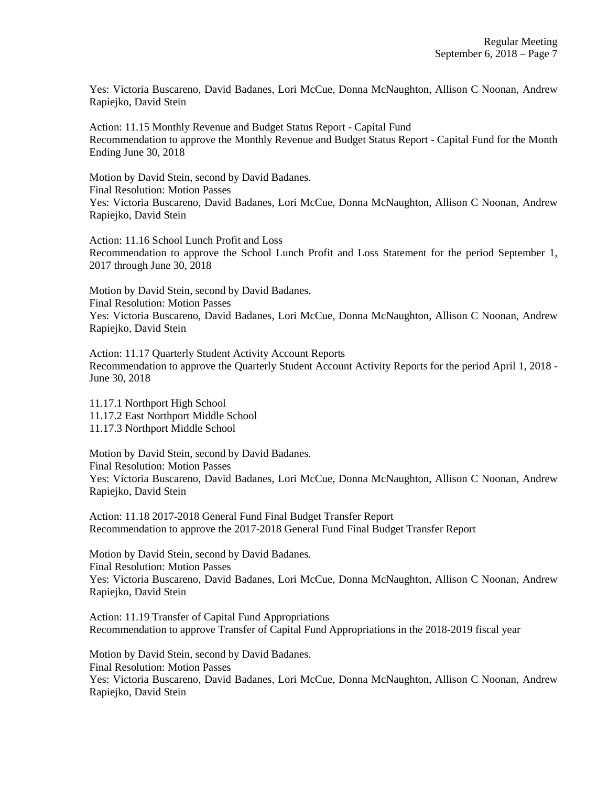Yes: Victoria Buscareno, David Badanes, Lori McCue, Donna McNaughton, Allison C Noonan, Andrew Rapiejko, David Stein

Action: 11.15 Monthly Revenue and Budget Status Report - Capital Fund Recommendation to approve the Monthly Revenue and Budget Status Report - Capital Fund for the Month Ending June 30, 2018

Motion by David Stein, second by David Badanes. Final Resolution: Motion Passes Yes: Victoria Buscareno, David Badanes, Lori McCue, Donna McNaughton, Allison C Noonan, Andrew Rapiejko, David Stein

Action: 11.16 School Lunch Profit and Loss Recommendation to approve the School Lunch Profit and Loss Statement for the period September 1, 2017 through June 30, 2018

Motion by David Stein, second by David Badanes. Final Resolution: Motion Passes Yes: Victoria Buscareno, David Badanes, Lori McCue, Donna McNaughton, Allison C Noonan, Andrew Rapiejko, David Stein

Action: 11.17 Quarterly Student Activity Account Reports Recommendation to approve the Quarterly Student Account Activity Reports for the period April 1, 2018 - June 30, 2018

11.17.1 Northport High School 11.17.2 East Northport Middle School 11.17.3 Northport Middle School

Motion by David Stein, second by David Badanes. Final Resolution: Motion Passes Yes: Victoria Buscareno, David Badanes, Lori McCue, Donna McNaughton, Allison C Noonan, Andrew Rapiejko, David Stein

Action: 11.18 2017-2018 General Fund Final Budget Transfer Report Recommendation to approve the 2017-2018 General Fund Final Budget Transfer Report

Motion by David Stein, second by David Badanes. Final Resolution: Motion Passes Yes: Victoria Buscareno, David Badanes, Lori McCue, Donna McNaughton, Allison C Noonan, Andrew Rapiejko, David Stein

Action: 11.19 Transfer of Capital Fund Appropriations Recommendation to approve Transfer of Capital Fund Appropriations in the 2018-2019 fiscal year

Motion by David Stein, second by David Badanes. Final Resolution: Motion Passes Yes: Victoria Buscareno, David Badanes, Lori McCue, Donna McNaughton, Allison C Noonan, Andrew Rapiejko, David Stein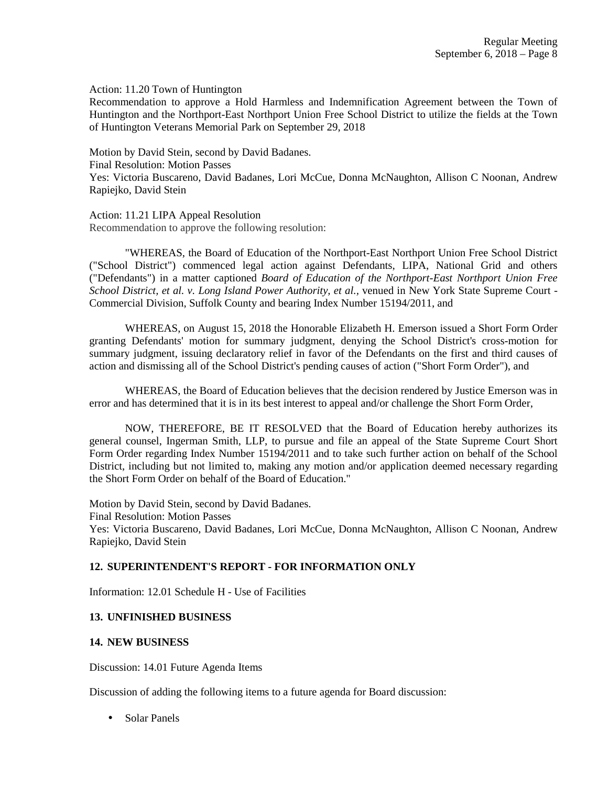Action: 11.20 Town of Huntington

Recommendation to approve a Hold Harmless and Indemnification Agreement between the Town of Huntington and the Northport-East Northport Union Free School District to utilize the fields at the Town of Huntington Veterans Memorial Park on September 29, 2018

Motion by David Stein, second by David Badanes. Final Resolution: Motion Passes Yes: Victoria Buscareno, David Badanes, Lori McCue, Donna McNaughton, Allison C Noonan, Andrew Rapiejko, David Stein

Action: 11.21 LIPA Appeal Resolution Recommendation to approve the following resolution:

"WHEREAS, the Board of Education of the Northport-East Northport Union Free School District ("School District") commenced legal action against Defendants, LIPA, National Grid and others ("Defendants") in a matter captioned *Board of Education of the Northport-East Northport Union Free School District, et al. v. Long Island Power Authority, et al.,* venued in New York State Supreme Court - Commercial Division, Suffolk County and bearing Index Number 15194/2011, and

WHEREAS, on August 15, 2018 the Honorable Elizabeth H. Emerson issued a Short Form Order granting Defendants' motion for summary judgment, denying the School District's cross-motion for summary judgment, issuing declaratory relief in favor of the Defendants on the first and third causes of action and dismissing all of the School District's pending causes of action ("Short Form Order"), and

WHEREAS, the Board of Education believes that the decision rendered by Justice Emerson was in error and has determined that it is in its best interest to appeal and/or challenge the Short Form Order,

NOW, THEREFORE, BE IT RESOLVED that the Board of Education hereby authorizes its general counsel, Ingerman Smith, LLP, to pursue and file an appeal of the State Supreme Court Short Form Order regarding Index Number 15194/2011 and to take such further action on behalf of the School District, including but not limited to, making any motion and/or application deemed necessary regarding the Short Form Order on behalf of the Board of Education."

Motion by David Stein, second by David Badanes. Final Resolution: Motion Passes Yes: Victoria Buscareno, David Badanes, Lori McCue, Donna McNaughton, Allison C Noonan, Andrew Rapiejko, David Stein

### **12. SUPERINTENDENT'S REPORT - FOR INFORMATION ONLY**

Information: 12.01 Schedule H - Use of Facilities

## **13. UNFINISHED BUSINESS**

#### **14. NEW BUSINESS**

Discussion: 14.01 Future Agenda Items

Discussion of adding the following items to a future agenda for Board discussion:

• Solar Panels